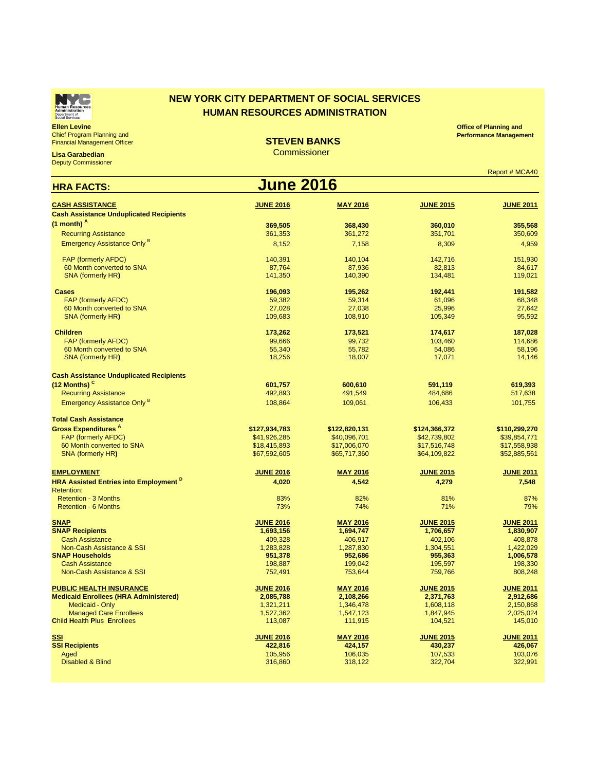## **Ellen Levine** Chief Program Planning and

**Lisa Garabedian Deputy Commissioner** 

Financial Management Officer

| <b>June 2016</b><br><b>HRA FACTS:</b>                                                                                       |                        |  |  |  |  |  |
|-----------------------------------------------------------------------------------------------------------------------------|------------------------|--|--|--|--|--|
| <b>CASH ASSISTANCE</b><br><b>JUNE 2016</b><br><b>MAY 2016</b><br><b>JUNE 2015</b>                                           | <b>JUNE 2011</b>       |  |  |  |  |  |
| <b>Cash Assistance Unduplicated Recipients</b>                                                                              |                        |  |  |  |  |  |
| $(1 \text{ month})$ <sup>A</sup><br>369,505<br>368,430<br>360,010                                                           | 355,568                |  |  |  |  |  |
| <b>Recurring Assistance</b><br>361,353<br>361,272<br>351,701                                                                | 350,609                |  |  |  |  |  |
| <b>Emergency Assistance Only B</b><br>7,158<br>8,152<br>8,309                                                               | 4,959                  |  |  |  |  |  |
| <b>FAP (formerly AFDC)</b><br>140,391<br>140,104<br>142,716                                                                 | 151,930                |  |  |  |  |  |
| 60 Month converted to SNA<br>87,936<br>87,764<br>82,813                                                                     | 84,617                 |  |  |  |  |  |
| <b>SNA (formerly HR)</b><br>141,350<br>140,390<br>134,481                                                                   | 119,021                |  |  |  |  |  |
| <b>Cases</b><br>195,262<br>196,093<br>192,441                                                                               | 191,582                |  |  |  |  |  |
| <b>FAP (formerly AFDC)</b><br>59,382<br>59,314<br>61,096                                                                    | 68,348                 |  |  |  |  |  |
| 60 Month converted to SNA<br>27,028<br>27,038<br>25,996                                                                     | 27,642                 |  |  |  |  |  |
| <b>SNA (formerly HR)</b><br>109,683<br>108,910<br>105,349                                                                   | 95,592                 |  |  |  |  |  |
| <b>Children</b><br>173,262<br>173,521<br>174,617                                                                            | 187,028                |  |  |  |  |  |
| <b>FAP (formerly AFDC)</b><br>99,666<br>99,732<br>103,460                                                                   | 114,686                |  |  |  |  |  |
| 60 Month converted to SNA<br>55,340<br>55,782<br>54,086                                                                     | 58,196                 |  |  |  |  |  |
| <b>SNA (formerly HR)</b><br>18,256<br>18,007<br>17,071                                                                      | 14,146                 |  |  |  |  |  |
| <b>Cash Assistance Unduplicated Recipients</b>                                                                              |                        |  |  |  |  |  |
| $(12$ Months) <sup>C</sup><br>601,757<br>600,610<br>591,119                                                                 | 619,393                |  |  |  |  |  |
| <b>Recurring Assistance</b><br>492,893<br>484,686<br>491,549                                                                | 517,638                |  |  |  |  |  |
| <b>Emergency Assistance Only B</b><br>108,864<br>109,061<br>106,433                                                         | 101,755                |  |  |  |  |  |
| <b>Total Cash Assistance</b>                                                                                                |                        |  |  |  |  |  |
| <b>Gross Expenditures <sup>A</sup></b><br>\$127,934,783<br>\$122,820,131<br>\$124,366,372                                   | \$110,299,270          |  |  |  |  |  |
| <b>FAP (formerly AFDC)</b><br>\$42,739,802<br>\$41,926,285<br>\$40,096,701                                                  | \$39,854,771           |  |  |  |  |  |
| 60 Month converted to SNA<br>\$18,415,893<br>\$17,006,070<br>\$17,516,748                                                   | \$17,558,938           |  |  |  |  |  |
| \$67,592,605<br>\$64,109,822<br><b>SNA (formerly HR)</b><br>\$65,717,360                                                    | \$52,885,561           |  |  |  |  |  |
| <b>JUNE 2016</b><br><b>EMPLOYMENT</b><br><b>MAY 2016</b><br><b>JUNE 2015</b>                                                | <b>JUNE 2011</b>       |  |  |  |  |  |
| <b>HRA Assisted Entries into Employment D</b><br>4,020<br>4,542<br>4,279                                                    | 7,548                  |  |  |  |  |  |
| <b>Retention:</b>                                                                                                           |                        |  |  |  |  |  |
| 83%<br>82%<br>81%<br><b>Retention - 3 Months</b>                                                                            | 87%                    |  |  |  |  |  |
| <b>Retention - 6 Months</b><br>73%<br>71%<br>$74\%$                                                                         | 79%                    |  |  |  |  |  |
| <b>JUNE 2016</b><br><b>MAY 2016</b><br><b>JUNE 2015</b><br><b>SNAP</b>                                                      | <b>JUNE 2011</b>       |  |  |  |  |  |
| <b>SNAP Recipients</b><br>1,694,747<br>1,706,657<br>1,693,156                                                               | 1,830,907              |  |  |  |  |  |
| <b>Cash Assistance</b><br>409,328<br>406,917<br>402,106                                                                     | 408,878                |  |  |  |  |  |
| Non-Cash Assistance & SSI<br>1,283,828<br>1,287,830<br>1,304,551<br><b>SNAP Households</b><br>951,378<br>952,686<br>955,363 | 1,422,029<br>1,006,578 |  |  |  |  |  |
| <b>Cash Assistance</b><br>198,887<br>199,042<br>195,597                                                                     | 198,330                |  |  |  |  |  |
| Non-Cash Assistance & SSI<br>752,491<br>753,644<br>759,766                                                                  | 808,248                |  |  |  |  |  |
| <b>PUBLIC HEALTH INSURANCE</b><br><b>JUNE 2016</b><br><b>MAY 2016</b><br><b>JUNE 2015</b>                                   | <b>JUNE 2011</b>       |  |  |  |  |  |
| <b>Medicaid Enrollees (HRA Administered)</b><br>2,085,788<br>2,108,266<br>2,371,763                                         | 2,912,686              |  |  |  |  |  |
| <b>Medicaid - Only</b><br>1,321,211<br>1,346,478<br>1,608,118                                                               | 2,150,868              |  |  |  |  |  |
| <b>Managed Care Enrollees</b><br>1,527,362<br>1,847,945<br>1,547,123                                                        | 2,025,024              |  |  |  |  |  |
| <b>Child Health Plus Enrollees</b><br>113,087<br>111,915<br>104,521                                                         | 145,010                |  |  |  |  |  |
| <u>SSI</u><br><b>JUNE 2016</b><br><b>MAY 2016</b><br><b>JUNE 2015</b>                                                       | <b>JUNE 2011</b>       |  |  |  |  |  |
| <b>SSI Recipients</b><br>422,816<br>424,157<br>430,237                                                                      | 426,067                |  |  |  |  |  |
| 105,956<br>106,035<br>107,533<br>Aged                                                                                       | 103,076                |  |  |  |  |  |
| <b>Disabled &amp; Blind</b><br>322,704<br>316,860<br>318,122                                                                | 322,991                |  |  |  |  |  |

| TM                                              |  |
|-------------------------------------------------|--|
| <b>Human Resources</b><br><b>Administration</b> |  |
| Department of<br>Social Services                |  |

## **NEW YORK CITY DEPARTMENT OF SOCIAL SERVICES HUMAN RESOURCES ADMINISTRATION**

**Office of Planning and Performance Management** 

## **STEVEN BANKS**

**Commissioner** 

Report # MCA40